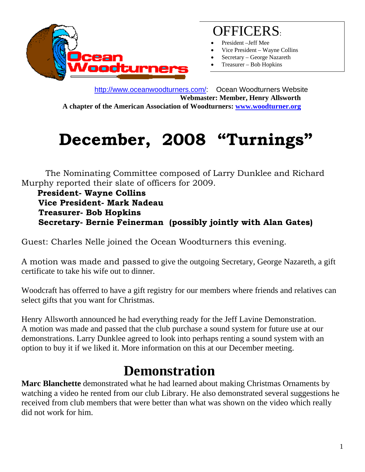

## OFFICERS:

- President –Jeff Mee
- Vice President Wayne Collins
- Secretary George Nazareth
- Treasurer Bob Hopkins

 http://www.oceanwoodturners.com/: Ocean Woodturners Website **Webmaster: Member, Henry Allsworth A chapter of the American Association of Woodturners: www.woodturner.org** 

## **December, 2008 "Turnings"**

 The Nominating Committee composed of Larry Dunklee and Richard Murphy reported their slate of officers for 2009.

 **President- Wayne Collins Vice President- Mark Nadeau Treasurer- Bob Hopkins Secretary- Bernie Feinerman (possibly jointly with Alan Gates)** 

Guest: Charles Nelle joined the Ocean Woodturners this evening.

A motion was made and passed to give the outgoing Secretary, George Nazareth, a gift certificate to take his wife out to dinner.

Woodcraft has offerred to have a gift registry for our members where friends and relatives can select gifts that you want for Christmas.

Henry Allsworth announced he had everything ready for the Jeff Lavine Demonstration. A motion was made and passed that the club purchase a sound system for future use at our demonstrations. Larry Dunklee agreed to look into perhaps renting a sound system with an option to buy it if we liked it. More information on this at our December meeting.

## **Demonstration**

**Marc Blanchette** demonstrated what he had learned about making Christmas Ornaments by watching a video he rented from our club Library. He also demonstrated several suggestions he received from club members that were better than what was shown on the video which really did not work for him.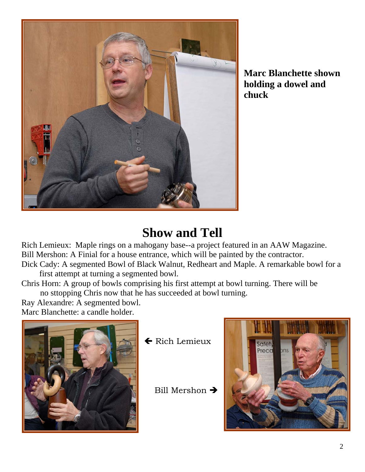

**Marc Blanchette shown holding a dowel and chuck** 

## **Show and Tell**

Rich Lemieux: Maple rings on a mahogany base--a project featured in an AAW Magazine. Bill Mershon: A Finial for a house entrance, which will be painted by the contractor. Dick Cady: A segmented Bowl of Black Walnut, Redheart and Maple. A remarkable bowl for a

first attempt at turning a segmented bowl.

Chris Horn: A group of bowls comprising his first attempt at bowl turning. There will be no sttopping Chris now that he has succeeded at bowl turning.

Ray Alexandre: A segmented bowl. Marc Blanchette: a candle holder.



← Rich Lemieux

Bill Mershon  $\rightarrow$